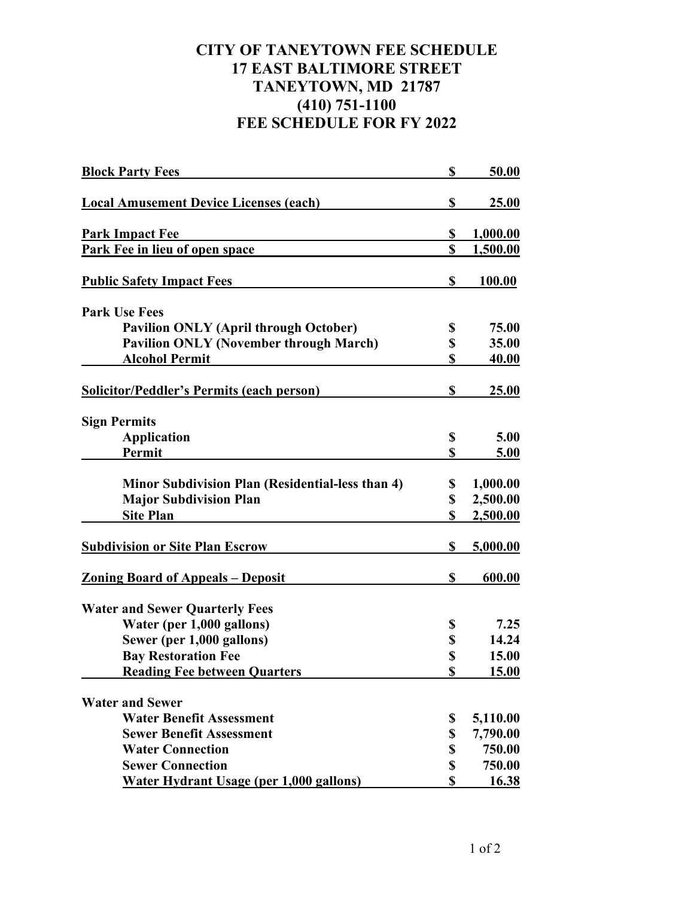## **CITY OF TANEYTOWN FEE SCHEDULE 17 EAST BALTIMORE STREET TANEYTOWN, MD 21787 (410) 751-1100 FEE SCHEDULE FOR FY 2022**

| <b>Block Party Fees</b>                                 | \$ | 50.00           |
|---------------------------------------------------------|----|-----------------|
| <b>Local Amusement Device Licenses (each)</b>           | \$ | <u>25.00</u>    |
| <b>Park Impact Fee</b>                                  | \$ | <u>1,000.00</u> |
| Park Fee in lieu of open space                          | \$ | <u>1,500.00</u> |
| <b>Public Safety Impact Fees</b>                        | S  | <u>100.00</u>   |
| <b>Park Use Fees</b>                                    |    |                 |
| <b>Pavilion ONLY (April through October)</b>            | \$ | 75.00           |
| <b>Pavilion ONLY (November through March)</b>           | \$ | 35.00           |
| <b>Alcohol Permit</b>                                   | \$ | <u>40.00</u>    |
| <b>Solicitor/Peddler's Permits (each person)</b>        | \$ | 25.00           |
| <b>Sign Permits</b>                                     |    |                 |
| <b>Application</b>                                      | \$ | 5.00            |
| Permit                                                  | S  | 5.00            |
| <b>Minor Subdivision Plan (Residential-less than 4)</b> | \$ | 1,000.00        |
| <b>Major Subdivision Plan</b>                           | \$ | 2,500.00        |
| <b>Site Plan</b>                                        | \$ | 2,500.00        |
| <b>Subdivision or Site Plan Escrow</b>                  | S  | 5,000.00        |
| <u><b>Zoning Board of Appeals – Deposit</b></u>         | \$ | 600.00          |
| <b>Water and Sewer Quarterly Fees</b>                   |    |                 |
| Water (per 1,000 gallons)                               | \$ | 7.25            |
| Sewer (per 1,000 gallons)                               | \$ | 14.24           |
| <b>Bay Restoration Fee</b>                              | \$ | 15.00           |
| <u>Reading Fee between Quarters</u>                     | \$ | <u>15.00</u>    |
| <b>Water and Sewer</b>                                  |    |                 |
| <b>Water Benefit Assessment</b>                         | \$ | 5,110.00        |
| <b>Sewer Benefit Assessment</b>                         | \$ | 7,790.00        |
| <b>Water Connection</b>                                 | \$ | 750.00          |
| <b>Sewer Connection</b>                                 | \$ | 750.00          |
| Water Hydrant Usage (per 1,000 gallons)                 | \$ | 16.38           |